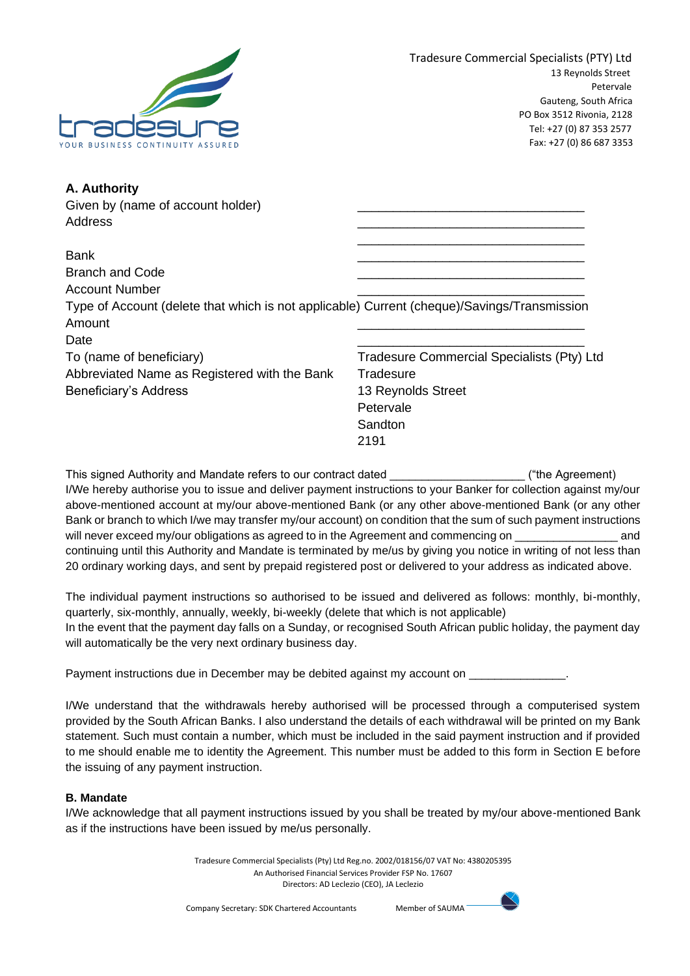

\_\_\_\_\_\_\_\_\_\_\_\_\_\_\_\_\_\_\_\_\_\_\_\_\_\_\_\_\_\_\_\_

| A. Authority                      |  |
|-----------------------------------|--|
| Given by (name of account holder) |  |
| Address                           |  |

| <b>Bank</b>                                                                                 |                                            |
|---------------------------------------------------------------------------------------------|--------------------------------------------|
| <b>Branch and Code</b>                                                                      |                                            |
| <b>Account Number</b>                                                                       |                                            |
| Type of Account (delete that which is not applicable) Current (cheque)/Savings/Transmission |                                            |
| Amount                                                                                      |                                            |
| Date                                                                                        |                                            |
| To (name of beneficiary)                                                                    | Tradesure Commercial Specialists (Pty) Ltd |
| Abbreviated Name as Registered with the Bank                                                | Tradesure                                  |
| Beneficiary's Address                                                                       | 13 Reynolds Street                         |
|                                                                                             | Petervale                                  |

This signed Authority and Mandate refers to our contract dated \_\_\_\_\_\_\_\_\_\_\_\_\_\_\_\_\_\_\_\_\_ ("the Agreement) I/We hereby authorise you to issue and deliver payment instructions to your Banker for collection against my/our above-mentioned account at my/our above-mentioned Bank (or any other above-mentioned Bank (or any other Bank or branch to which I/we may transfer my/our account) on condition that the sum of such payment instructions will never exceed my/our obligations as agreed to in the Agreement and commencing on \_ continuing until this Authority and Mandate is terminated by me/us by giving you notice in writing of not less than 20 ordinary working days, and sent by prepaid registered post or delivered to your address as indicated above.

Sandton 2191

The individual payment instructions so authorised to be issued and delivered as follows: monthly, bi-monthly, quarterly, six-monthly, annually, weekly, bi-weekly (delete that which is not applicable) In the event that the payment day falls on a Sunday, or recognised South African public holiday, the payment day will automatically be the very next ordinary business day.

Payment instructions due in December may be debited against my account on \_\_\_\_\_\_

I/We understand that the withdrawals hereby authorised will be processed through a computerised system provided by the South African Banks. I also understand the details of each withdrawal will be printed on my Bank statement. Such must contain a number, which must be included in the said payment instruction and if provided to me should enable me to identity the Agreement. This number must be added to this form in Section E before the issuing of any payment instruction.

# **B. Mandate**

I/We acknowledge that all payment instructions issued by you shall be treated by my/our above-mentioned Bank as if the instructions have been issued by me/us personally.

> Tradesure Commercial Specialists (Pty) Ltd Reg.no. 2002/018156/07 VAT No: 4380205395 An Authorised Financial Services Provider FSP No. 17607 Directors: AD Leclezio (CEO), JA Leclezio

Company Secretary: SDK Chartered Accountants Member of SAUMA